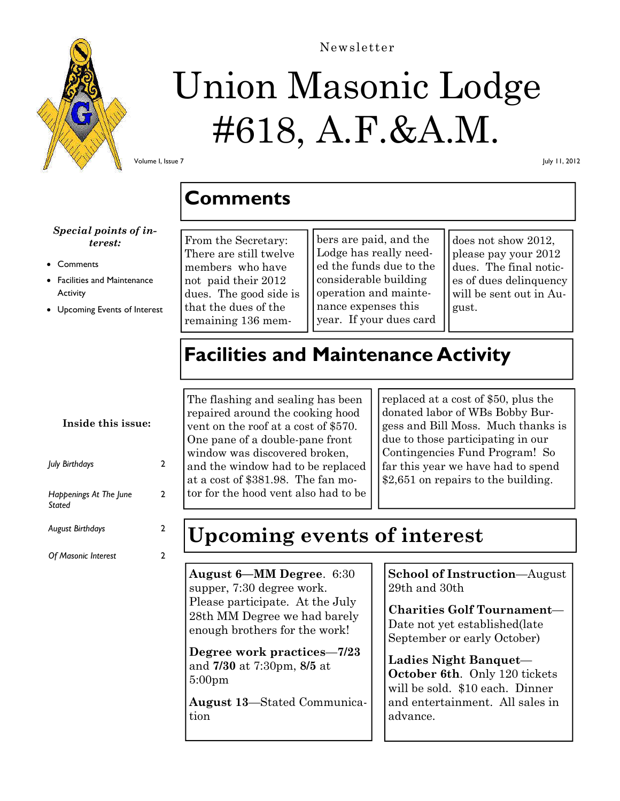

# Union Masonic Lodge #618, A.F.&A.M.

Newsletter

Volume I, Issue 7

July 11, 2012

### **Comments**

### *Special points of interest:*

#### **Comments**

- Facilities and Maintenance **Activity**
- Upcoming Events of Interest

From the Secretary: There are still twelve members who have not paid their 2012 dues. The good side is that the dues of the remaining 136 members are paid, and the Lodge has really needed the funds due to the considerable building operation and maintenance expenses this year. If your dues card

does not show 2012, please pay your 2012 dues. The final notices of dues delinquency will be sent out in August.

# **Facilities and Maintenance Activity**

### **Inside this issue:**

| July Birthdays                   | 2 |
|----------------------------------|---|
| Happenings At The June<br>Stated | 2 |
| <b>August Birthdays</b>          | 2 |
| <b>Of Masonic Interest</b>       |   |

The flashing and sealing has been repaired around the cooking hood vent on the roof at a cost of \$570. One pane of a double-pane front window was discovered broken, and the window had to be replaced at a cost of \$381.98. The fan motor for the hood vent also had to be

replaced at a cost of \$50, plus the donated labor of WBs Bobby Burgess and Bill Moss. Much thanks is due to those participating in our Contingencies Fund Program! So far this year we have had to spend \$2,651 on repairs to the building.

# **Upcoming events of interest**

**August 6—MM Degree**. 6:30 supper, 7:30 degree work. Please participate. At the July 28th MM Degree we had barely enough brothers for the work!

**Degree work practices**—**7/23**  and **7/30** at 7:30pm, **8/5** at 5:00pm

**August 13**—Stated Communication

**School of Instruction**—August 29th and 30th

**Charities Golf Tournament**— Date not yet established(late September or early October)

**Ladies Night Banquet**— **October 6th**. Only 120 tickets will be sold. \$10 each. Dinner and entertainment. All sales in advance.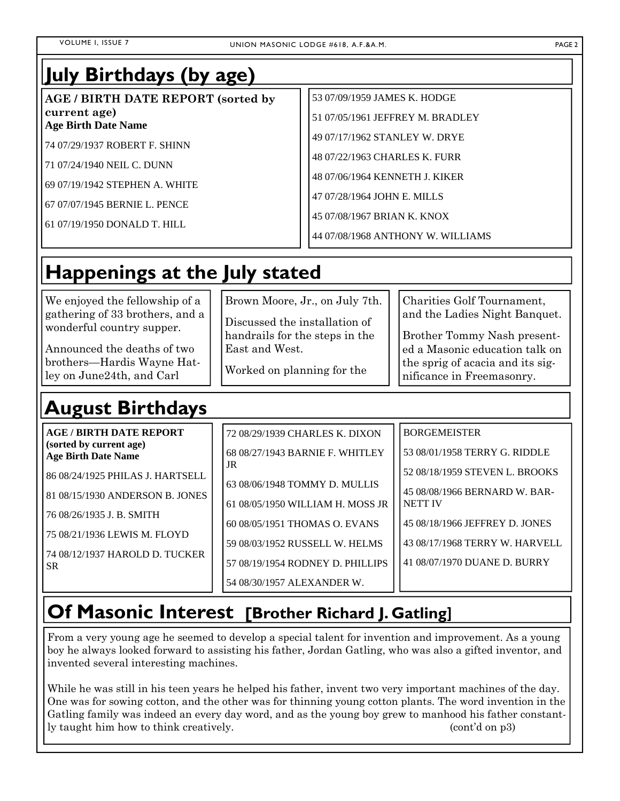### **July Birthdays (by age)**

**AGE / BIRTH DATE REPORT (sorted by current age) Age Birth Date Name** 

74 07/29/1937 ROBERT F. SHINN

71 07/24/1940 NEIL C. DUNN

69 07/19/1942 STEPHEN A. WHITE

67 07/07/1945 BERNIE L. PENCE

61 07/19/1950 DONALD T. HILL

53 07/09/1959 JAMES K. HODGE

51 07/05/1961 JEFFREY M. BRADLEY

49 07/17/1962 STANLEY W. DRYE

48 07/22/1963 CHARLES K. FURR

48 07/06/1964 KENNETH J. KIKER

47 07/28/1964 JOHN E. MILLS

45 07/08/1967 BRIAN K. KNOX

44 07/08/1968 ANTHONY W. WILLIAMS

# **Happenings at the July stated**

We enjoyed the fellowship of a gathering of 33 brothers, and a wonderful country supper.

Announced the deaths of two brothers—Hardis Wayne Hatley on June24th, and Carl

# **August Birthdays**

Brown Moore, Jr., on July 7th. Discussed the installation of handrails for the steps in the East and West.

Worked on planning for the

Charities Golf Tournament, and the Ladies Night Banquet.

Brother Tommy Nash presented a Masonic education talk on the sprig of acacia and its significance in Freemasonry.

| <b>AGE/BIRTH DATE REPORT</b><br>(sorted by current age)<br><b>Age Birth Date Name</b><br>86 08/24/1925 PHILAS J. HARTSELL<br>81 08/15/1930 ANDERSON B. JONES<br>76 08/26/1935 J. B. SMITH<br>75 08/21/1936 LEWIS M. FLOYD<br>74 08/12/1937 HAROLD D. TUCKER | 72 08/29/1939 CHARLES K. DIXON<br>68 08/27/1943 BARNIE F. WHITLEY<br>JR<br>63 08/06/1948 TOMMY D. MULLIS<br>61 08/05/1950 WILLIAM H. MOSS JR<br>60 08/05/1951 THOMAS O. EVANS<br>59 08/03/1952 RUSSELL W. HELMS | <b>BORGEMEISTER</b><br>53 08/01/1958 TERRY G. RIDDLE<br>52 08/18/1959 STEVEN L. BROOKS<br>45 08/08/1966 BERNARD W. BAR-<br><b>NETT IV</b><br>45 08/18/1966 JEFFREY D. JONES<br>43 08/17/1968 TERRY W. HARVELL |
|-------------------------------------------------------------------------------------------------------------------------------------------------------------------------------------------------------------------------------------------------------------|-----------------------------------------------------------------------------------------------------------------------------------------------------------------------------------------------------------------|---------------------------------------------------------------------------------------------------------------------------------------------------------------------------------------------------------------|
|                                                                                                                                                                                                                                                             |                                                                                                                                                                                                                 |                                                                                                                                                                                                               |
| SR.                                                                                                                                                                                                                                                         | 57 08/19/1954 RODNEY D. PHILLIPS<br>54 08/30/1957 ALEXANDER W.                                                                                                                                                  | 41 08/07/1970 DUANE D. BURRY                                                                                                                                                                                  |

### **Of Masonic Interest [Brother Richard J. Gatling]**

From a very young age he seemed to develop a special talent for invention and improvement. As a young boy he always looked forward to assisting his father, Jordan Gatling, who was also a gifted inventor, and invented several interesting machines.

While he was still in his teen years he helped his father, invent two very important machines of the day. One was for sowing cotton, and the other was for thinning young cotton plants. The word invention in the Gatling family was indeed an every day word, and as the young boy grew to manhood his father constantly taught him how to think creatively. (cont'd on p3)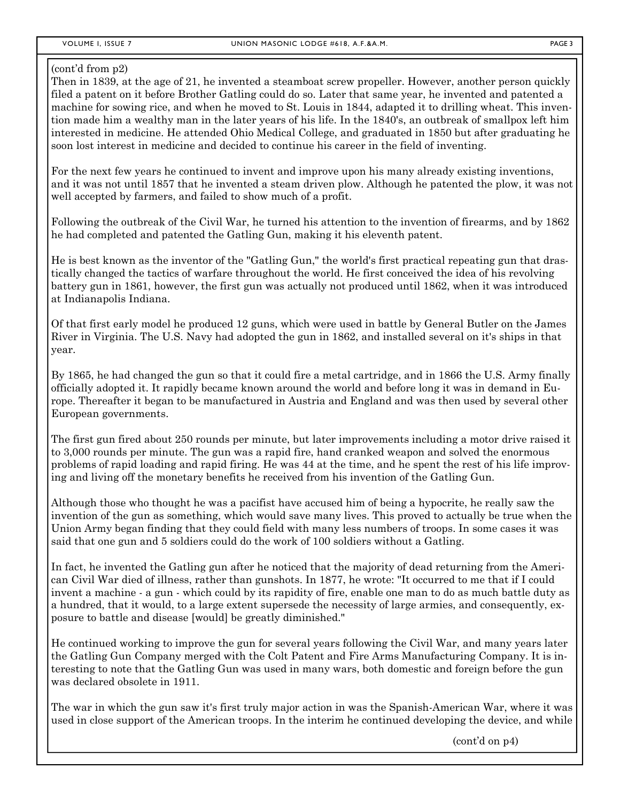#### (cont'd from p2)

Then in 1839, at the age of 21, he invented a steamboat screw propeller. However, another person quickly filed a patent on it before Brother Gatling could do so. Later that same year, he invented and patented a machine for sowing rice, and when he moved to St. Louis in 1844, adapted it to drilling wheat. This invention made him a wealthy man in the later years of his life. In the 1840's, an outbreak of smallpox left him interested in medicine. He attended Ohio Medical College, and graduated in 1850 but after graduating he soon lost interest in medicine and decided to continue his career in the field of inventing.

For the next few years he continued to invent and improve upon his many already existing inventions, and it was not until 1857 that he invented a steam driven plow. Although he patented the plow, it was not well accepted by farmers, and failed to show much of a profit.

Following the outbreak of the Civil War, he turned his attention to the invention of firearms, and by 1862 he had completed and patented the Gatling Gun, making it his eleventh patent.

He is best known as the inventor of the "Gatling Gun," the world's first practical repeating gun that drastically changed the tactics of warfare throughout the world. He first conceived the idea of his revolving battery gun in 1861, however, the first gun was actually not produced until 1862, when it was introduced at Indianapolis Indiana.

Of that first early model he produced 12 guns, which were used in battle by General Butler on the James River in Virginia. The U.S. Navy had adopted the gun in 1862, and installed several on it's ships in that year.

By 1865, he had changed the gun so that it could fire a metal cartridge, and in 1866 the U.S. Army finally officially adopted it. It rapidly became known around the world and before long it was in demand in Europe. Thereafter it began to be manufactured in Austria and England and was then used by several other European governments.

The first gun fired about 250 rounds per minute, but later improvements including a motor drive raised it to 3,000 rounds per minute. The gun was a rapid fire, hand cranked weapon and solved the enormous problems of rapid loading and rapid firing. He was 44 at the time, and he spent the rest of his life improving and living off the monetary benefits he received from his invention of the Gatling Gun.

Although those who thought he was a pacifist have accused him of being a hypocrite, he really saw the invention of the gun as something, which would save many lives. This proved to actually be true when the Union Army began finding that they could field with many less numbers of troops. In some cases it was said that one gun and 5 soldiers could do the work of 100 soldiers without a Gatling.

In fact, he invented the Gatling gun after he noticed that the majority of dead returning from the American Civil War died of illness, rather than gunshots. In 1877, he wrote: "It occurred to me that if I could invent a machine - a gun - which could by its rapidity of fire, enable one man to do as much battle duty as a hundred, that it would, to a large extent supersede the necessity of large armies, and consequently, exposure to battle and disease [would] be greatly diminished."

He continued working to improve the gun for several years following the Civil War, and many years later the Gatling Gun Company merged with the Colt Patent and Fire Arms Manufacturing Company. It is interesting to note that the Gatling Gun was used in many wars, both domestic and foreign before the gun was declared obsolete in 1911.

The war in which the gun saw it's first truly major action in was the Spanish-American War, where it was used in close support of the American troops. In the interim he continued developing the device, and while

(cont'd on p4)